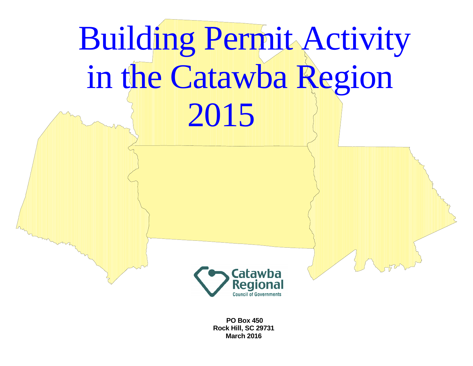

 **PO Box 450 Rock Hill, SC 29731 March 2016**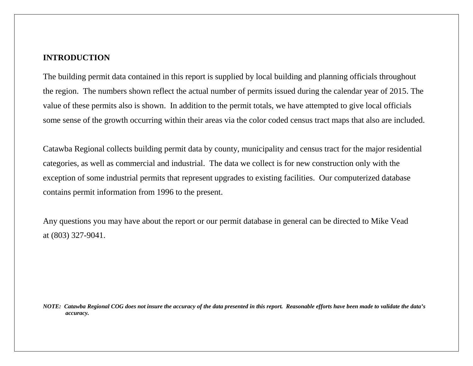#### **INTRODUCTION**

The building permit data contained in this report is supplied by local building and planning officials throughout the region. The numbers shown reflect the actual number of permits issued during the calendar year of 2015. The value of these permits also is shown. In addition to the permit totals, we have attempted to give local officials some sense of the growth occurring within their areas via the color coded census tract maps that also are included.

Catawba Regional collects building permit data by county, municipality and census tract for the major residential categories, as well as commercial and industrial. The data we collect is for new construction only with the exception of some industrial permits that represent upgrades to existing facilities. Our computerized database contains permit information from 1996 to the present.

Any questions you may have about the report or our permit database in general can be directed to Mike Vead at (803) 327-9041.

*NOTE: Catawba Regional COG does not insure the accuracy of the data presented in this report. Reasonable efforts have been made to validate the data's accuracy.*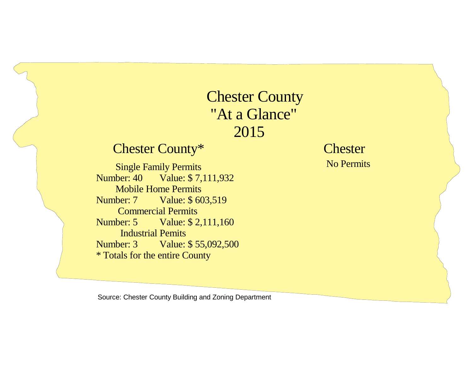## Chester County "At a Glance" 2015

### Chester County\*

 Single Family Permits Number: 40 Value: \$ 7,111,932 Mobile Home Permits Number: 7 Value: \$ 603,519 Commercial Permits Number: 5 Value: \$ 2,111,160 Industrial Pemits Number: 3 Value: \$ 55,092,500\* Totals for the entire County

**Chester** No Permits

Source: Chester County Building and Zoning Department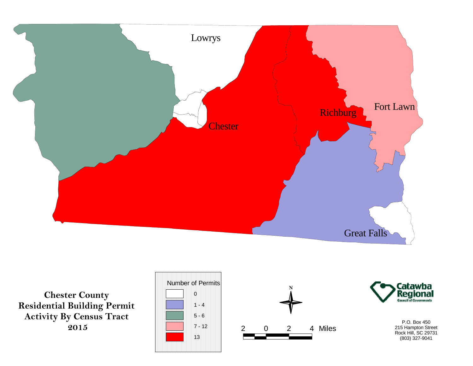

**Chester County Residential Building PermitActivity By Census Tract 2015**





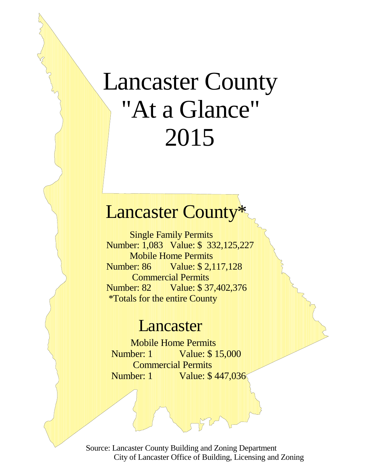# Lancaster County "At a Glance" 2015

## **Lancaster County**

 Single Family Permits Number: 1,083 Value: \$ 332,125,227 Mobile Home Permits Number: 86 Value: \$ 2,117,128 Commercial Permits Number: 82 Value: \$37,402,376 \*Totals for the entire County

### Lancaster

 Mobile Home Permits Number: 1 Value: \$ 15,000 Commercial Permits Number: 1 Value: \$ 447,036

Source: Lancaster County Building and Zoning Department City of Lancaster Office of Building, Licensing and Zoning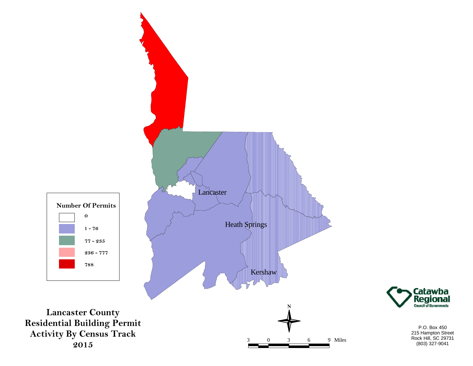

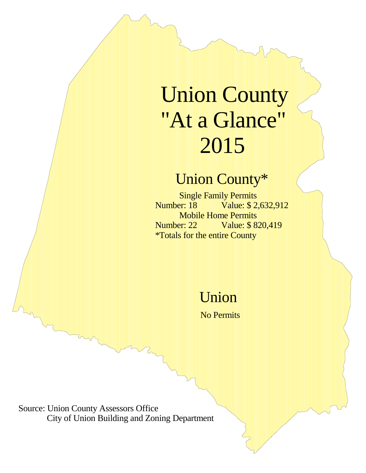# Union County "At a Glance" 2015

## Union County\*

Single Family Permits<br>Number: 18 Value: \$2 Value: \$ 2,632,912 Mobile Home Permits Number: 22 Value: \$ 820,419 \*Totals for the entire County

Union

No Permits

Source: Union County Assessors Office City of Union Building and Zoning Department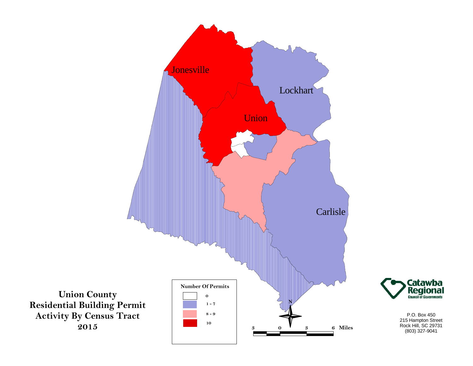

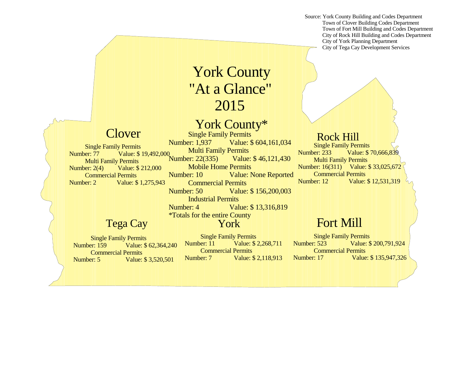Source: York County Building and Codes Department Town of Clover Building Codes Department Town of Fort Mill Building and Codes Department City of Rock Hill Building and Codes Department City of York Planning Department**City of Tega Cay Development Services** 

## York County "At a Glance" 2015

### York County\*

 $\text{Clover}$  Single Family Permits Number: 1,937 Value: \$ 604,161,034 Multi Family Permits Number: 22(335) Value: \$ 46,121,430 Mobile Home Permits Number: 10 Value: None Reported Commercial PermitsNumber: 50 Value: \$ 156,200,003 Industrial Permits Number: 4 Value: \$ 13,316,819\*Totals for the entire CountyNumber: 77 Value: \$ 19,492,000

#### York

 Single Family PermitsNumber: 159 Value: \$ 62,364,240 Commercial PermitsNumber: 5 Value: \$ 3,520,501

Tega Cay

Single Family Permits

 Multi Family PermitsNumber: 2(4) Value: \$ 212,000 Commercial PermitsNumber: 2 Value: \$ 1,275,943

> **Single Family Permits** Number: 11 Value: \$ 2,268,711 Commercial PermitsNumber: 7 Value: \$ 2,118,913

Rock Hill**Single Family Permits** Number: 233 Value: \$ 70,666,839 Multi Family Permits Number: 16(311) Value: \$ 33,025,672 Commercial PermitsNumber: 12 Value: \$ 12,531,319

### Fort Mill

 Single Family Permits Number: 523 Value: \$ 200,791,924 Commercial PermitsNumber: 17 Value: \$ 135,947,326